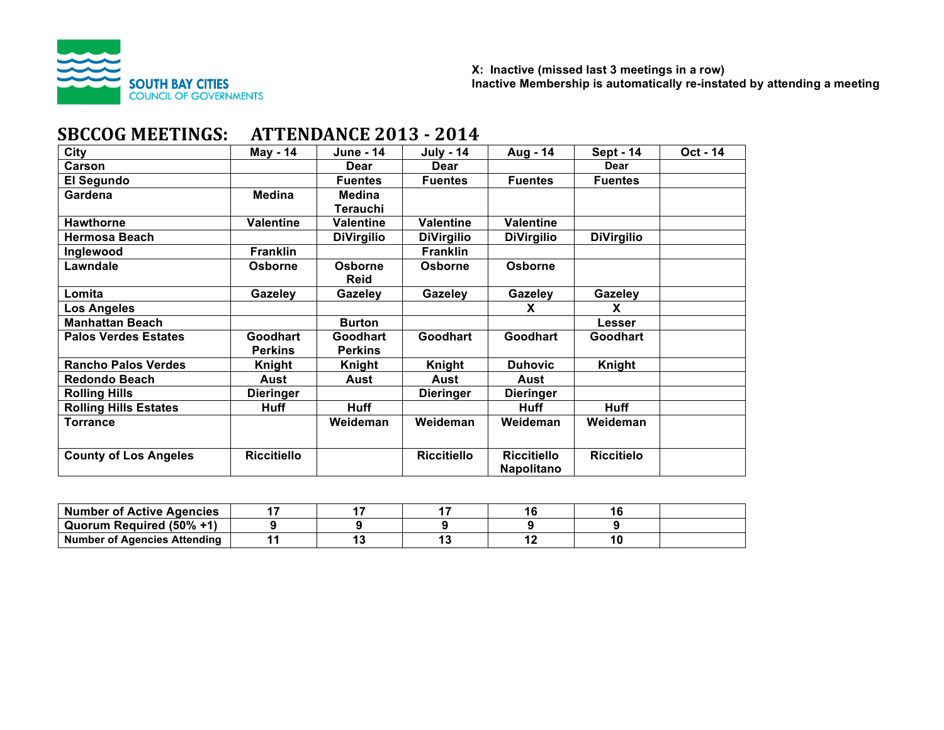

# **SBCCOG MEETINGS: ATTENDANCE 2013 - 2014**

| City                         | May - 14           | <b>June - 14</b>  | <b>July - 14</b>   | Aug - 14           | <b>Sept - 14</b>  | Oct - 14 |
|------------------------------|--------------------|-------------------|--------------------|--------------------|-------------------|----------|
| Carson                       |                    | Dear              | <b>Dear</b>        |                    | Dear              |          |
| El Segundo                   |                    | <b>Fuentes</b>    | <b>Fuentes</b>     | <b>Fuentes</b>     | <b>Fuentes</b>    |          |
| Gardena                      | <b>Medina</b>      | <b>Medina</b>     |                    |                    |                   |          |
|                              |                    | Terauchi          |                    |                    |                   |          |
| <b>Hawthorne</b>             | <b>Valentine</b>   | <b>Valentine</b>  | <b>Valentine</b>   | <b>Valentine</b>   |                   |          |
| <b>Hermosa Beach</b>         |                    | <b>DiVirgilio</b> | <b>DiVirgilio</b>  | <b>DiVirgilio</b>  | <b>DiVirgilio</b> |          |
| Inglewood                    | <b>Franklin</b>    |                   | <b>Franklin</b>    |                    |                   |          |
| Lawndale                     | Osborne            | Osborne           | Osborne            | <b>Osborne</b>     |                   |          |
|                              |                    | <b>Reid</b>       |                    |                    |                   |          |
| Lomita                       | Gazeley            | Gazeley           | Gazeley            | Gazeley            | Gazeley           |          |
| <b>Los Angeles</b>           |                    |                   |                    | X                  | x                 |          |
| <b>Manhattan Beach</b>       |                    | <b>Burton</b>     |                    |                    | Lesser            |          |
| <b>Palos Verdes Estates</b>  | <b>Goodhart</b>    | <b>Goodhart</b>   | Goodhart           | <b>Goodhart</b>    | <b>Goodhart</b>   |          |
|                              | <b>Perkins</b>     | <b>Perkins</b>    |                    |                    |                   |          |
| <b>Rancho Palos Verdes</b>   | <b>Knight</b>      | Knight            | Knight             | <b>Duhovic</b>     | Knight            |          |
| <b>Redondo Beach</b>         | Aust               | Aust              | Aust               | Aust               |                   |          |
| <b>Rolling Hills</b>         | <b>Dieringer</b>   |                   | <b>Dieringer</b>   | <b>Dieringer</b>   |                   |          |
| <b>Rolling Hills Estates</b> | <b>Huff</b>        | <b>Huff</b>       |                    | <b>Huff</b>        | <b>Huff</b>       |          |
| <b>Torrance</b>              |                    | Weideman          | Weideman           | Weideman           | Weideman          |          |
|                              |                    |                   |                    |                    |                   |          |
| <b>County of Los Angeles</b> | <b>Riccitiello</b> |                   | <b>Riccitiello</b> | <b>Riccitiello</b> | <b>Riccitielo</b> |          |
|                              |                    |                   |                    | Napolitano         |                   |          |

| <b>Number of Active Agencies</b>    |  |  |  |
|-------------------------------------|--|--|--|
| Quorum Required (50% +1)            |  |  |  |
| <b>Number of Agencies Attending</b> |  |  |  |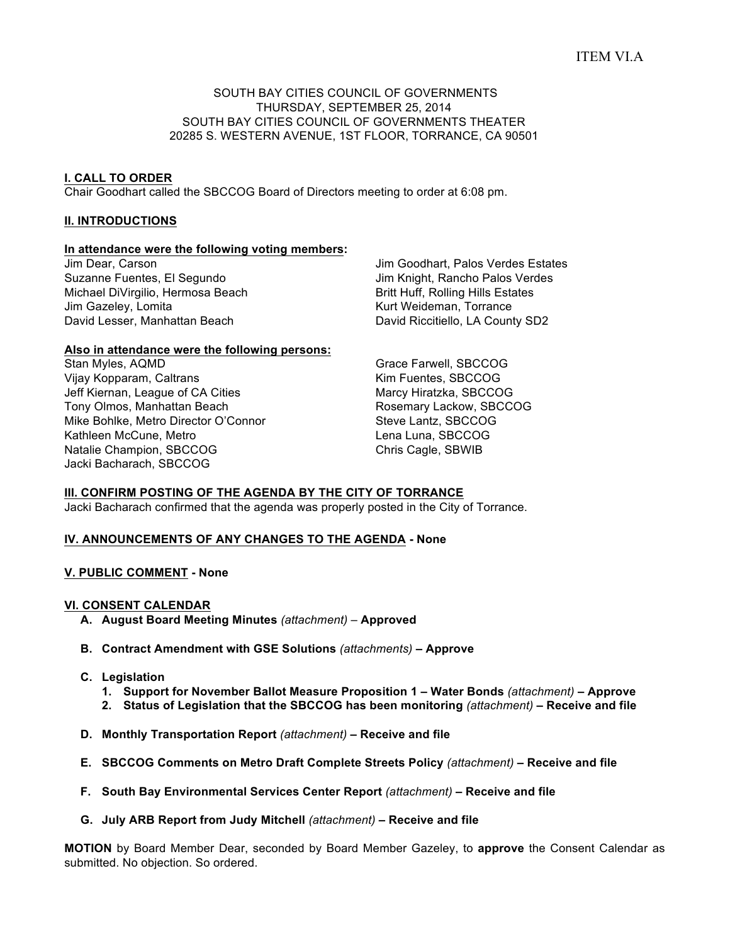# ITEM VI.A

#### SOUTH BAY CITIES COUNCIL OF GOVERNMENTS THURSDAY, SEPTEMBER 25, 2014 SOUTH BAY CITIES COUNCIL OF GOVERNMENTS THEATER 20285 S. WESTERN AVENUE, 1ST FLOOR, TORRANCE, CA 90501

#### **I. CALL TO ORDER**

Chair Goodhart called the SBCCOG Board of Directors meeting to order at 6:08 pm.

#### **II. INTRODUCTIONS**

#### **In attendance were the following voting members:**

Jim Dear, Carson Suzanne Fuentes, El Segundo Michael DiVirgilio, Hermosa Beach Jim Gazeley, Lomita David Lesser, Manhattan Beach

Jim Goodhart, Palos Verdes Estates Jim Knight, Rancho Palos Verdes Britt Huff, Rolling Hills Estates Kurt Weideman, Torrance David Riccitiello, LA County SD2

#### **Also in attendance were the following persons:**

Stan Myles, AQMD Vijay Kopparam, Caltrans Jeff Kiernan, League of CA Cities Tony Olmos, Manhattan Beach Mike Bohlke, Metro Director O'Connor Kathleen McCune, Metro Natalie Champion, SBCCOG Jacki Bacharach, SBCCOG

Grace Farwell, SBCCOG Kim Fuentes, SBCCOG Marcy Hiratzka, SBCCOG Rosemary Lackow, SBCCOG Steve Lantz, SBCCOG Lena Luna, SBCCOG Chris Cagle, SBWIB

#### **III. CONFIRM POSTING OF THE AGENDA BY THE CITY OF TORRANCE**

Jacki Bacharach confirmed that the agenda was properly posted in the City of Torrance.

#### **IV. ANNOUNCEMENTS OF ANY CHANGES TO THE AGENDA - None**

#### **V. PUBLIC COMMENT - None**

#### **VI. CONSENT CALENDAR**

- **A. August Board Meeting Minutes** *(attachment) –* **Approved**
- **B. Contract Amendment with GSE Solutions** *(attachments)* **– Approve**
- **C. Legislation**
	- **1. Support for November Ballot Measure Proposition 1 – Water Bonds** *(attachment)* **– Approve**
	- **2. Status of Legislation that the SBCCOG has been monitoring** *(attachment)* **– Receive and file**
- **D. Monthly Transportation Report** *(attachment)* **– Receive and file**
- **E. SBCCOG Comments on Metro Draft Complete Streets Policy** *(attachment)* **– Receive and file**
- **F. South Bay Environmental Services Center Report** *(attachment)* **– Receive and file**
- **G. July ARB Report from Judy Mitchell** *(attachment)* **– Receive and file**

**MOTION** by Board Member Dear, seconded by Board Member Gazeley, to **approve** the Consent Calendar as submitted. No objection. So ordered.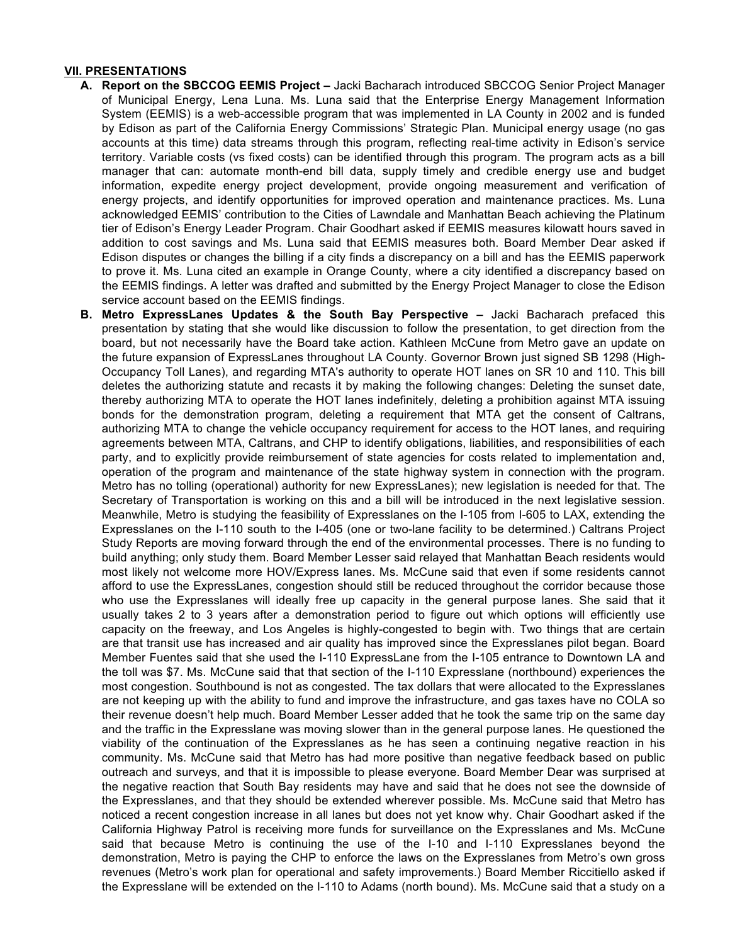#### **VII. PRESENTATIONS**

- **A. Report on the SBCCOG EEMIS Project –** Jacki Bacharach introduced SBCCOG Senior Project Manager of Municipal Energy, Lena Luna. Ms. Luna said that the Enterprise Energy Management Information System (EEMIS) is a web-accessible program that was implemented in LA County in 2002 and is funded by Edison as part of the California Energy Commissions' Strategic Plan. Municipal energy usage (no gas accounts at this time) data streams through this program, reflecting real-time activity in Edison's service territory. Variable costs (vs fixed costs) can be identified through this program. The program acts as a bill manager that can: automate month-end bill data, supply timely and credible energy use and budget information, expedite energy project development, provide ongoing measurement and verification of energy projects, and identify opportunities for improved operation and maintenance practices. Ms. Luna acknowledged EEMIS' contribution to the Cities of Lawndale and Manhattan Beach achieving the Platinum tier of Edison's Energy Leader Program. Chair Goodhart asked if EEMIS measures kilowatt hours saved in addition to cost savings and Ms. Luna said that EEMIS measures both. Board Member Dear asked if Edison disputes or changes the billing if a city finds a discrepancy on a bill and has the EEMIS paperwork to prove it. Ms. Luna cited an example in Orange County, where a city identified a discrepancy based on the EEMIS findings. A letter was drafted and submitted by the Energy Project Manager to close the Edison service account based on the EEMIS findings.
- **B. Metro ExpressLanes Updates & the South Bay Perspective –** Jacki Bacharach prefaced this presentation by stating that she would like discussion to follow the presentation, to get direction from the board, but not necessarily have the Board take action. Kathleen McCune from Metro gave an update on the future expansion of ExpressLanes throughout LA County. Governor Brown just signed SB 1298 (High-Occupancy Toll Lanes), and regarding MTA's authority to operate HOT lanes on SR 10 and 110. This bill deletes the authorizing statute and recasts it by making the following changes: Deleting the sunset date, thereby authorizing MTA to operate the HOT lanes indefinitely, deleting a prohibition against MTA issuing bonds for the demonstration program, deleting a requirement that MTA get the consent of Caltrans, authorizing MTA to change the vehicle occupancy requirement for access to the HOT lanes, and requiring agreements between MTA, Caltrans, and CHP to identify obligations, liabilities, and responsibilities of each party, and to explicitly provide reimbursement of state agencies for costs related to implementation and, operation of the program and maintenance of the state highway system in connection with the program. Metro has no tolling (operational) authority for new ExpressLanes); new legislation is needed for that. The Secretary of Transportation is working on this and a bill will be introduced in the next legislative session. Meanwhile, Metro is studying the feasibility of Expresslanes on the I-105 from I-605 to LAX, extending the Expresslanes on the I-110 south to the I-405 (one or two-lane facility to be determined.) Caltrans Project Study Reports are moving forward through the end of the environmental processes. There is no funding to build anything; only study them. Board Member Lesser said relayed that Manhattan Beach residents would most likely not welcome more HOV/Express lanes. Ms. McCune said that even if some residents cannot afford to use the ExpressLanes, congestion should still be reduced throughout the corridor because those who use the Expresslanes will ideally free up capacity in the general purpose lanes. She said that it usually takes 2 to 3 years after a demonstration period to figure out which options will efficiently use capacity on the freeway, and Los Angeles is highly-congested to begin with. Two things that are certain are that transit use has increased and air quality has improved since the Expresslanes pilot began. Board Member Fuentes said that she used the I-110 ExpressLane from the I-105 entrance to Downtown LA and the toll was \$7. Ms. McCune said that that section of the I-110 Expresslane (northbound) experiences the most congestion. Southbound is not as congested. The tax dollars that were allocated to the Expresslanes are not keeping up with the ability to fund and improve the infrastructure, and gas taxes have no COLA so their revenue doesn't help much. Board Member Lesser added that he took the same trip on the same day and the traffic in the Expresslane was moving slower than in the general purpose lanes. He questioned the viability of the continuation of the Expresslanes as he has seen a continuing negative reaction in his community. Ms. McCune said that Metro has had more positive than negative feedback based on public outreach and surveys, and that it is impossible to please everyone. Board Member Dear was surprised at the negative reaction that South Bay residents may have and said that he does not see the downside of the Expresslanes, and that they should be extended wherever possible. Ms. McCune said that Metro has noticed a recent congestion increase in all lanes but does not yet know why. Chair Goodhart asked if the California Highway Patrol is receiving more funds for surveillance on the Expresslanes and Ms. McCune said that because Metro is continuing the use of the I-10 and I-110 Expresslanes beyond the demonstration, Metro is paying the CHP to enforce the laws on the Expresslanes from Metro's own gross revenues (Metro's work plan for operational and safety improvements.) Board Member Riccitiello asked if the Expresslane will be extended on the I-110 to Adams (north bound). Ms. McCune said that a study on a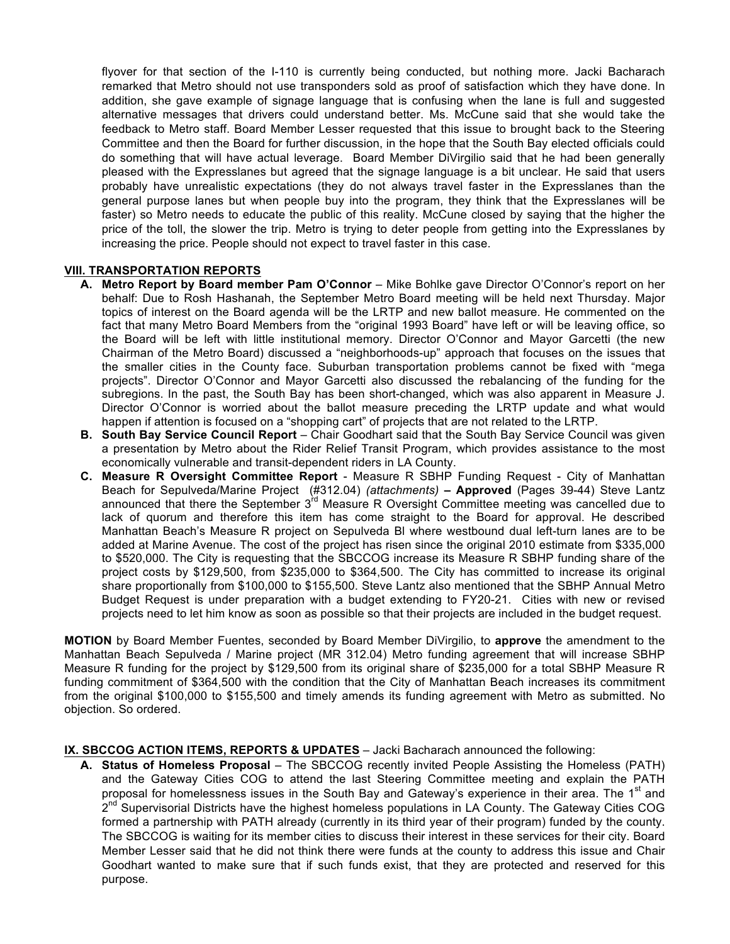flyover for that section of the I-110 is currently being conducted, but nothing more. Jacki Bacharach remarked that Metro should not use transponders sold as proof of satisfaction which they have done. In addition, she gave example of signage language that is confusing when the lane is full and suggested alternative messages that drivers could understand better. Ms. McCune said that she would take the feedback to Metro staff. Board Member Lesser requested that this issue to brought back to the Steering Committee and then the Board for further discussion, in the hope that the South Bay elected officials could do something that will have actual leverage. Board Member DiVirgilio said that he had been generally pleased with the Expresslanes but agreed that the signage language is a bit unclear. He said that users probably have unrealistic expectations (they do not always travel faster in the Expresslanes than the general purpose lanes but when people buy into the program, they think that the Expresslanes will be faster) so Metro needs to educate the public of this reality. McCune closed by saying that the higher the price of the toll, the slower the trip. Metro is trying to deter people from getting into the Expresslanes by increasing the price. People should not expect to travel faster in this case.

#### **VIII. TRANSPORTATION REPORTS**

- **A. Metro Report by Board member Pam O'Connor** Mike Bohlke gave Director O'Connor's report on her behalf: Due to Rosh Hashanah, the September Metro Board meeting will be held next Thursday. Major topics of interest on the Board agenda will be the LRTP and new ballot measure. He commented on the fact that many Metro Board Members from the "original 1993 Board" have left or will be leaving office, so the Board will be left with little institutional memory. Director O'Connor and Mayor Garcetti (the new Chairman of the Metro Board) discussed a "neighborhoods-up" approach that focuses on the issues that the smaller cities in the County face. Suburban transportation problems cannot be fixed with "mega projects". Director O'Connor and Mayor Garcetti also discussed the rebalancing of the funding for the subregions. In the past, the South Bay has been short-changed, which was also apparent in Measure J. Director O'Connor is worried about the ballot measure preceding the LRTP update and what would happen if attention is focused on a "shopping cart" of projects that are not related to the LRTP.
- **B. South Bay Service Council Report** Chair Goodhart said that the South Bay Service Council was given a presentation by Metro about the Rider Relief Transit Program, which provides assistance to the most economically vulnerable and transit-dependent riders in LA County.
- **C. Measure R Oversight Committee Report** Measure R SBHP Funding Request City of Manhattan Beach for Sepulveda/Marine Project (#312.04) *(attachments)* **– Approved** (Pages 39-44) Steve Lantz announced that there the September 3<sup>rd</sup> Measure R Oversight Committee meeting was cancelled due to lack of quorum and therefore this item has come straight to the Board for approval. He described Manhattan Beach's Measure R project on Sepulveda Bl where westbound dual left-turn lanes are to be added at Marine Avenue. The cost of the project has risen since the original 2010 estimate from \$335,000 to \$520,000. The City is requesting that the SBCCOG increase its Measure R SBHP funding share of the project costs by \$129,500, from \$235,000 to \$364,500. The City has committed to increase its original share proportionally from \$100,000 to \$155,500. Steve Lantz also mentioned that the SBHP Annual Metro Budget Request is under preparation with a budget extending to FY20-21. Cities with new or revised projects need to let him know as soon as possible so that their projects are included in the budget request.

**MOTION** by Board Member Fuentes, seconded by Board Member DiVirgilio, to **approve** the amendment to the Manhattan Beach Sepulveda / Marine project (MR 312.04) Metro funding agreement that will increase SBHP Measure R funding for the project by \$129,500 from its original share of \$235,000 for a total SBHP Measure R funding commitment of \$364,500 with the condition that the City of Manhattan Beach increases its commitment from the original \$100,000 to \$155,500 and timely amends its funding agreement with Metro as submitted. No objection. So ordered.

### **IX. SBCCOG ACTION ITEMS, REPORTS & UPDATES** – Jacki Bacharach announced the following:

**A. Status of Homeless Proposal** – The SBCCOG recently invited People Assisting the Homeless (PATH) and the Gateway Cities COG to attend the last Steering Committee meeting and explain the PATH proposal for homelessness issues in the South Bay and Gateway's experience in their area. The 1<sup>st</sup> and 2<sup>nd</sup> Supervisorial Districts have the highest homeless populations in LA County. The Gateway Cities COG formed a partnership with PATH already (currently in its third year of their program) funded by the county. The SBCCOG is waiting for its member cities to discuss their interest in these services for their city. Board Member Lesser said that he did not think there were funds at the county to address this issue and Chair Goodhart wanted to make sure that if such funds exist, that they are protected and reserved for this purpose.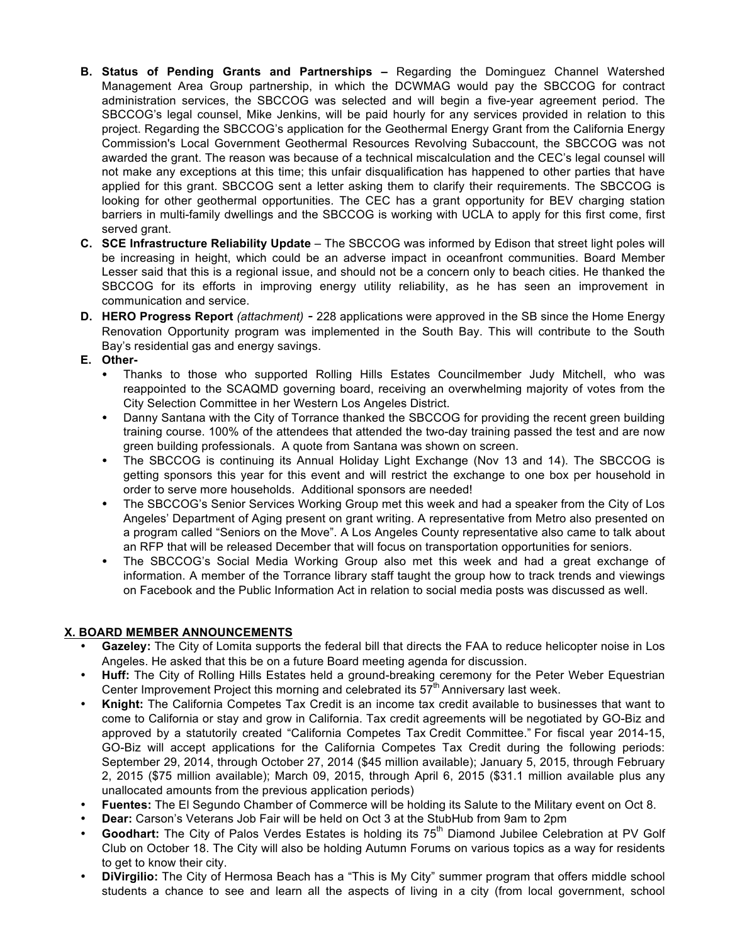- **B. Status of Pending Grants and Partnerships –** Regarding the Dominguez Channel Watershed Management Area Group partnership, in which the DCWMAG would pay the SBCCOG for contract administration services, the SBCCOG was selected and will begin a five-year agreement period. The SBCCOG's legal counsel, Mike Jenkins, will be paid hourly for any services provided in relation to this project. Regarding the SBCCOG's application for the Geothermal Energy Grant from the California Energy Commission's Local Government Geothermal Resources Revolving Subaccount, the SBCCOG was not awarded the grant. The reason was because of a technical miscalculation and the CEC's legal counsel will not make any exceptions at this time; this unfair disqualification has happened to other parties that have applied for this grant. SBCCOG sent a letter asking them to clarify their requirements. The SBCCOG is looking for other geothermal opportunities. The CEC has a grant opportunity for BEV charging station barriers in multi-family dwellings and the SBCCOG is working with UCLA to apply for this first come, first served grant.
- **C. SCE Infrastructure Reliability Update** The SBCCOG was informed by Edison that street light poles will be increasing in height, which could be an adverse impact in oceanfront communities. Board Member Lesser said that this is a regional issue, and should not be a concern only to beach cities. He thanked the SBCCOG for its efforts in improving energy utility reliability, as he has seen an improvement in communication and service.
- **D. HERO Progress Report** *(attachment) -* 228 applications were approved in the SB since the Home Energy Renovation Opportunity program was implemented in the South Bay. This will contribute to the South Bay's residential gas and energy savings.
- **E. Other-**
	- Thanks to those who supported Rolling Hills Estates Councilmember Judy Mitchell, who was reappointed to the SCAQMD governing board, receiving an overwhelming majority of votes from the City Selection Committee in her Western Los Angeles District.
	- Danny Santana with the City of Torrance thanked the SBCCOG for providing the recent green building training course. 100% of the attendees that attended the two-day training passed the test and are now green building professionals. A quote from Santana was shown on screen.
	- The SBCCOG is continuing its Annual Holiday Light Exchange (Nov 13 and 14). The SBCCOG is getting sponsors this year for this event and will restrict the exchange to one box per household in order to serve more households. Additional sponsors are needed!
	- The SBCCOG's Senior Services Working Group met this week and had a speaker from the City of Los Angeles' Department of Aging present on grant writing. A representative from Metro also presented on a program called "Seniors on the Move". A Los Angeles County representative also came to talk about an RFP that will be released December that will focus on transportation opportunities for seniors.
	- The SBCCOG's Social Media Working Group also met this week and had a great exchange of information. A member of the Torrance library staff taught the group how to track trends and viewings on Facebook and the Public Information Act in relation to social media posts was discussed as well.

## **X. BOARD MEMBER ANNOUNCEMENTS**

- **Gazeley:** The City of Lomita supports the federal bill that directs the FAA to reduce helicopter noise in Los Angeles. He asked that this be on a future Board meeting agenda for discussion.
- **Huff:** The City of Rolling Hills Estates held a ground-breaking ceremony for the Peter Weber Equestrian Center Improvement Project this morning and celebrated its  $57<sup>th</sup>$  Anniversary last week.
- **Knight:** The California Competes Tax Credit is an income tax credit available to businesses that want to come to California or stay and grow in California. Tax credit agreements will be negotiated by GO-Biz and approved by a statutorily created "California Competes Tax Credit Committee." For fiscal year 2014-15, GO-Biz will accept applications for the California Competes Tax Credit during the following periods: September 29, 2014, through October 27, 2014 (\$45 million available); January 5, 2015, through February 2, 2015 (\$75 million available); March 09, 2015, through April 6, 2015 (\$31.1 million available plus any unallocated amounts from the previous application periods)
- **Fuentes:** The El Segundo Chamber of Commerce will be holding its Salute to the Military event on Oct 8.
- **Dear:** Carson's Veterans Job Fair will be held on Oct 3 at the StubHub from 9am to 2pm
- Goodhart: The City of Palos Verdes Estates is holding its 75<sup>th</sup> Diamond Jubilee Celebration at PV Golf Club on October 18. The City will also be holding Autumn Forums on various topics as a way for residents to get to know their city.
- **DiVirgilio:** The City of Hermosa Beach has a "This is My City" summer program that offers middle school students a chance to see and learn all the aspects of living in a city (from local government, school